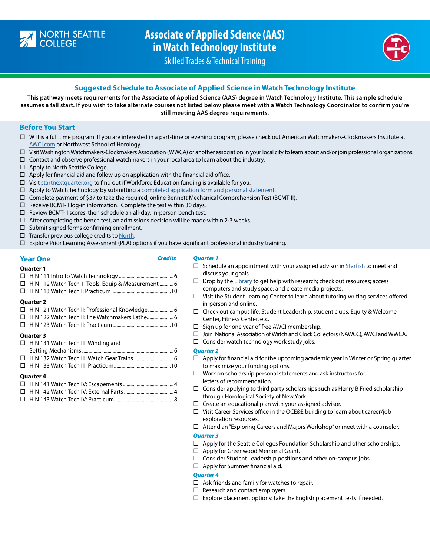

## **Associate of Applied Science (AAS) in Watch Technology Institute**



Skilled Trades & Technical Training

## **Suggested Schedule to Associate of Applied Science in Watch Technology Institute**

**This pathway meets requirements for the Associate of Applied Science (AAS) degree in Watch Technology Institute. This sample schedule assumes a fall start. If you wish to take alternate courses not listed below please meet with a Watch Technology Coordinator to confirm you're still meeting AAS degree requirements.** 

## **Before You Start**

- $\Box$  WTI is a full time program. If you are interested in a part-time or evening program, please check out American Watchmakers-Clockmakers Institute at [AWCI.com](http://AWCI.com) or Northwest School of Horology.
- $\Box$  Visit Washington Watchmakers-Clockmakers Association (WWCA) or another association in your local city to learn about and/or join professional organizations.
- $\Box$  Contact and observe professional watchmakers in your local area to learn about the industry.
- $\Box$  Apply to North Seattle College.
- $\Box$  Apply for financial aid and follow up on application with the financial aid office.
- $\Box$  Visit [startnextquarter.org](http://startnextquarter.org) to find out if Workforce Education funding is available for you.
- $\Box$  Apply to Watch Technology by submitting a [completed application form and personal statement](https://northseattle.edu/programs/watch-technology-institute).
- Complete payment of \$37 to take the required, online Bennett Mechanical Comprehension Test (BCMT-II).
- $\Box$  Receive BCMT-II log-in information. Complete the test within 30 days.
- $\Box$  Review BCMT-II scores, then schedule an all-day, in-person bench test.
- $\Box$  After completing the bench test, an admissions decision will be made within 2-3 weeks.
- $\Box$  Submit signed forms confirming enrollment.
- $\Box$  Transfer previous college credits to [North.](https://northseattle.edu/credentials)
- $\Box$  Explore Prior Learning Assessment (PLA) options if you have significant professional industry training.

#### **Year One** *Credits*

#### **Quarter 1**

**Quarter 2**

#### *Quarter 1*

- HIN 111 Intro to Watch Technology ...........................................6 □ HIN 112 Watch Tech 1: Tools, Equip & Measurement ............ 6  $\square$  Schedule an appointment with your assigned advisor in [Starfish](http://bit.ly/Starfishlogin) to meet and discuss your goals.  $\Box$  Drop by the [Library](https://libguides.northseattle.edu/welcome) to get help with research; check out resources; access
	- computers and study space; and create media projects.
	- $\Box$  Visit the Student Learning Center to learn about tutoring writing services offered in-person and online.
	- $\Box$  Check out campus life: Student Leadership, student clubs, Equity & Welcome Center, Fitness Center, etc.
	- $\square$  Sign up for one year of free AWCI membership.
	- □ Join National Association of Watch and Clock Collectors (NAWCC), AWCI and WWCA.
	- $\Box$  Consider watch technology work study jobs.

#### *Quarter 2*

- $\Box$  Apply for financial aid for the upcoming academic year in Winter or Spring quarter to maximize your funding options.
- $\Box$  Work on scholarship personal statements and ask instructors for letters of recommendation.
- $\Box$  Consider applying to third party scholarships such as Henry B Fried scholarship through Horological Society of New York.
- $\Box$  Create an educational plan with your assigned advisor.
- $\Box$  Visit Career Services office in the OCE&E building to learn about career/job exploration resources.
- Attend an "Exploring Careers and Majors Workshop" or meet with a counselor. *Quarter 3*
- $\Box$  Apply for the Seattle Colleges Foundation Scholarship and other scholarships.
- □ Apply for Greenwood Memorial Grant.
- $\square$  Consider Student Leadership positions and other on-campus jobs.
- $\Box$  Apply for Summer financial aid.

#### *Quarter 4*

- $\Box$  Ask friends and family for watches to repair.
- $\Box$  Research and contact employers.
- $\square$  Explore placement options: take the English placement tests if needed.

□ HIN 122 Watch Tech II: The Watchmakers Lathe........................ 6 HIN 123 Watch Tech II: Practicum..............................................10 **Quarter 3**   $\Box$  HIN 131 Watch Tech III: Winding and Setting Mechanisms........................................................................6 HIN 132 Watch Tech III: Watch Gear Trains...............................6 HIN 133 Watch Tech III: Practicum.............................................10

HIN 113 Watch Tech I: Practicum...............................................10

□ HIN 121 Watch Tech II: Professional Knowledge....................... 6

#### **Quarter 4**

HIN 143 Watch Tech IV: Practicum ..............................................8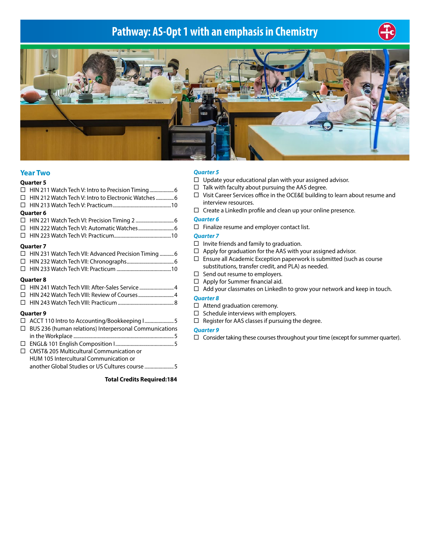# **Pathway: AS-Opt 1 with an emphasis in Chemistry**





## **Year Two**

| <b>Quarter 5</b>                                           |
|------------------------------------------------------------|
|                                                            |
|                                                            |
|                                                            |
| <b>Quarter 6</b>                                           |
|                                                            |
|                                                            |
|                                                            |
| <b>Quarter 7</b>                                           |
| $\Box$ HIN 231 Watch Tech VII: Advanced Precision Timing 6 |
|                                                            |
|                                                            |
| <b>Quarter 8</b>                                           |
| □ HIN 241 Watch Tech VIII: After-Sales Service 4           |

| □ HIN 241 Watch Tech VIII: After-Sales Service 4 |  |
|--------------------------------------------------|--|
|                                                  |  |
|                                                  |  |

#### **Quarter 9**

| $\Box$ BUS 236 (human relations) Interpersonal Communications |
|---------------------------------------------------------------|

| $\Box$ CMST& 205 Multicultural Communication or |
|-------------------------------------------------|
| HUM 105 Intercultural Communication or          |
|                                                 |
|                                                 |

#### **Total Credits Required:184**

#### *Quarter 5*

- $\Box$  Update your educational plan with your assigned advisor.
- $\Box$  Talk with faculty about pursuing the AAS degree.
- Visit Career Services office in the OCE&E building to learn about resume and interview resources.
- $\Box$  Create a LinkedIn profile and clean up your online presence.

## *Quarter 6*

 $\Box$  Finalize resume and employer contact list.

## *Quarter 7*

- $\Box$  Invite friends and family to graduation.
- $\Box$  Apply for graduation for the AAS with your assigned advisor.
- $\Box$  Ensure all Academic Exception paperwork is submitted (such as course substitutions, transfer credit, and PLA) as needed.
- $\Box$  Send out resume to employers.
- $\Box$  Apply for Summer financial aid.
- $\Box$  Add your classmates on LinkedIn to grow your network and keep in touch.

#### *Quarter 8*

- $\Box$  Attend graduation ceremony.
- $\Box$  Schedule interviews with employers.
- $\Box$  Register for AAS classes if pursuing the degree.

#### *Quarter 9*

 $\Box$  Consider taking these courses throughout your time (except for summer quarter).